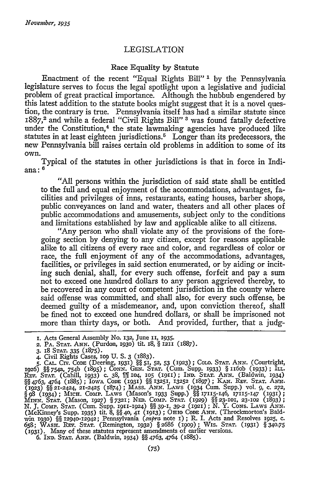## LEGISLATION

## Race Equality **by** Statute

Enactment of the recent "Equal Rights Bill" *1* **by** the Pennsylvania legislature serves to focus the legal spotlight upon a legislative and judicial problem of great practical importance. Although the hubbub engendered by this latest addition to the statute books might suggest that it is a novel question, the contrary is true. Pennsylvania itself has had a similar statute since 1887,2 and while a federal "Civil Rights Bill" **3** was found fatally defective under the Constitution,<sup>4</sup> the state lawmaking agencies have produced like statutes in at least eighteen jurisdictions.<sup>5</sup> Longer than its predecessors, the new Pennsylvania bill raises certain old problems in addition to some of its own.

Typical of the statutes in other jurisdictions is that in force in Indiana: **<sup>6</sup>**

"All persons within the jurisdiction of said state shall be entitled to the full and equal enjoyment of the accommodations, advantages, facilities and privileges of inns, restaurants, eating houses, barber shops, public conveyances on land and water, theaters and all other places of public accommodations and amusements, subject only to the conditions and limitations established by law and applicable alike to all citizens.

"Any person who shall violate any of the provisions of the foregoing section by denying to any citizen, except for reasons applicable alike to all citizens of every race and color, and regardless of color or race, the full enjoyment of any of the accommodations, advantages, facilities, or privileges in said section enumerated, or by aiding or inciting such denial, shall, for every such offense, forfeit and pay a sum not to exceed one hundred dollars to any person aggrieved thereby, to be recovered in any court of competent jurisdiction in the county where said offense was committed, and shall also, for every such offense, be deemed guilty of a misdemeanor, and, upon conviction thereof, shall be fined not to exceed one hundred dollars, or shall be imprisoned not more than thirty days, or both. And provided, further, that a judg-

6. IND. STAT. ANN. (Baldwin, 1934) *§§* 4763, 4764 (1885).

*I.* Acts General Assembly No. **132,** June **I1, 1935.**

**<sup>2.</sup>** PA. STAT. ANN. (Purdon, **193o)** tit. 18, § **1211** (1887).

<sup>3. 18</sup> Srar. 335 (1875).<br>4. Civil Rights Cases, 109 U. S. 3 (1883).<br>5. CAL. Crv. Cone (Deering, 1931) §§ 51, 52, 53 (1923); Colo. Srar. ANN. (Courtright,<br>1926) §§ 754a, 754b (1895); CONN. GEN. Srar. (Cum. Supp. 1933) § 1160 (1923) *§§* 21-2424, 21-2425 (1874); MASs. ANN. LA.ws (1934 Cum. Supp.) vol. 9, c. **272,** § *98* (1934); MICH. Comp. LAws (Mason's 1933 Supp.) *§§* 17115-146, 17115-147 (93i); MINN, STAT. (Mason, 1927) § 7321; NEB. COMP. STAT. (1929) §§ 23-101, 23-102 (1893);<br>N. J. COMP. STAT. (Cum. Supp. 1911-1924) §§ 39-1, 39-2 (1921); N. Y. CONS. LAWS ANN<br>(McKinney's Supp. 1935) tit. 8, §§ 40, 41 (1913); OHIO win 1930) §§ 12940-12942; Pennsylvania (supra note 1); R. I. Acts and Resolves 1925, c. 658; WASH. REV. STAT. (Remington, 1932) §2686 (1909); WIS. STAT. (1931) §340.75<br>(1931). Many of these statutes represent amendments of earlier versions.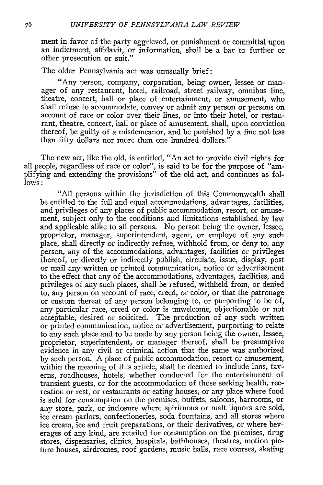ment in favor of the party aggrieved, or punishment or committal upon an indictment, affidavit, or information, shall be a bar to further or other prosecution or suit."

The older Pennsylvania act was unusually brief:

"Any person, company, corporation, being owner, lessee or manager of any restaurant, hotel, railroad, street railway, omnibus line, theatre, concert, hall or place of entertainment, or amusement, who shall refuse to accommodate, convey or admit any person or persons on account of race or color over their lines, or into their hotel, or restaurant, theatre, concert, hall or place of amusement, shall, upon conviction thereof, be guilty of a misdemeanor, and be punished **by** a fine not less than fifty dollars nor more than one hundred dollars."

The new act, like the old, is entitled, "An act to provide civil rights for all people, regardless of race or color", is said to be for the purpose of "amplifying and extending the provisions" of the old act, and continues as fol**lows:**

"All persons within the jurisdiction of this Commonwealth shall be entitled to the full and equal accommodations, advantages, facilities, and privileges of any places of public accommodation, resort, or amusement, subject only to the conditions and limitations established by law and applicable alike to all persons. No person being the owner, lessee, proprietor, manager, superintendent, agent, or employe of any such place, shall directly or indirectly refuse, withhold from, or deny to, any person, any of the accommodations, advantages, facilities or privileges thereof, or directly or indirectly publish, circulate, issue, display, post or mail any written or printed communication, notice or advertisement to the effect that any of the accommodations, advantages, facilities, and privileges of any such places, shall be refused, withheld from, or denied to, any person on account of race, creed, or color, or that the patronage or custom thereat of any person belonging to, or purporting to be of, any particular race, creed or color is unwelcome, objectionable or not acceptable, desired or solicited. The production of any such written or printed communication, notice or advertisement, purporting to relate to any such place and to be made by any person being the owner, lessee, proprietor, superintendent, or manager thereof, shall be presumptive evidence in any civil or criminal action that the same was authorized by such person. A place of public accommodation, resort or amusement, within the meaning of this article, shall be deemed to include inns, taverns, roadhouses, hotels, whether conducted for the entertainment of transient guests, or for the accommodation of those seeking health, recreation or rest, or restaurants or eating houses, or any place where food is sold for consumption on the premises, buffets, saloons, barrooms, or any store, park, or inclosure where spirituous or malt liquors are sold, ice cream parlors, confectioneries, soda fountains, and all stores where ice cream, ice and fruit preparations, or their derivatives, or where beverages of any kind, are retailed for consumption on the premises, drug stores, dispensaries, clinics, hospitals, bathhouses, theatres, motion picture houses, airdromes, roof gardens, music halls, race courses, skating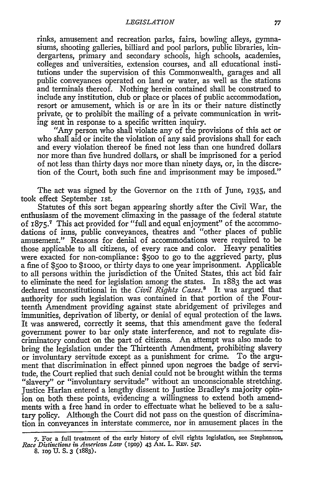rinks, amusement and recreation parks, fairs, bowling alleys, gymnasiums, shooting galleries, billiard and pool parlors, public libraries, kindergartens, primary and secondary schools, high schools, academies, colleges and universities, extension courses, and all educational institutions under the supervision of this Commonwealth, garages and all public conveyances operated on land or water, as well as the stations and terminals thereof. Nothing herein contained shall be construed to include any institution, club or place or places of public accommodation, resort or amusement, which is or are in its or their nature distinctly private, or to prohibit the mailing of a private communication in writing sent in response to a specific written inquiry.

"Any person who shall violate any of the provisions of this act or who shall aid or incite the violation of any said provisions shall for each and every violation thereof be fined not less than one hundred dollars nor more than five hundred dollars, or shall be imprisoned for a period of not less than thirty days nor more than ninety days, or, in the discretion of the Court, both such fine and imprisonment may be imposed."

The act was signed by the Governor on the 11th of June, 1935, and took effect September Ist.

Statutes of this sort began appearing shortly after the Civil War, the enthusiasm of the movement climaxing in the passage of the federal statute of **I875. <sup>7</sup>**This act provided for "full and equal enjoyment" of the accommodations of inns, public conveyances, theatres and "other places of public amusement." Reasons for denial of accommodations were required to be those applicable to all citizens, of every race and color. Heavy penalities were exacted for non-compliance: \$5oo to go to the aggrieved party, plus a fine of **\$500** to \$IOOO, or thirty days to one year imprisonment. Applicable to all persons within the jurisdiction of the United States, this act bid fair to eliminate the need for legislation among the states. In 1883 the act was declared unconstitutional in the *Civil Rights Cases."* It was argued that authority for such legislation was contained in that portion of the Fourteenth Amendment providing against state abridgement of privileges and immunities, deprivation of liberty, or denial of equal protection of the laws. It was answered, correctly it seems, that this amendment gave the federal government power to bar only state interference, and not to regulate discriminatory conduct on the part of citizens. An attempt was also made to bring the legislation under the Thirteenth Amendment, prohibiting slavery or involuntary servitude except as a punishment for crime. To the argument that discrimination in effect pinned upon negroes the badge of servitude, the Court replied that such denial could not be brought within the terms "slavery" or "involuntary servitude" without an unconscionable stretching. Justice Harlan entered a lengthy dissent to Justice Bradley's majority opinion on both these points, evidencing a willingness to extend both amendments with a free hand in order to effectuate what he believed to be a salutary policy. Although the Court did not pass on the question of discrimination in conveyances in interstate commerce, nor in amusement places in the

**<sup>7.</sup>** For a full treatment of **the** early history of civil rights legislation, see Stephenson, *Race Distinctions in Amwrican Law* (19op) **43** Am. **L. REv.** 547.

**<sup>8.</sup> IO9 U. S. 3 (1883).**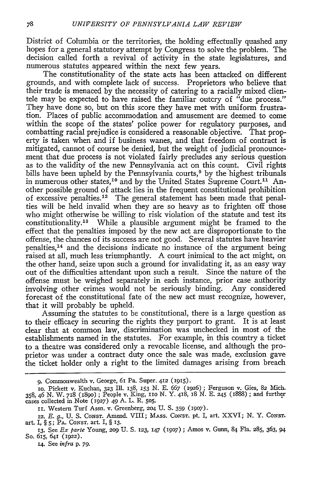District of Columbia or the territories, the holding effectually quashed any hopes for a general statutory attempt **by** Congress to solve the problem. The decision called forth a revival of activity in the state legislatures, and numerous statutes appeared within the next few years.

The constitutionality of the state acts has been attacked on different grounds, and with complete lack of success. Proprietors who believe that their trade is menaced **by** the necessity of catering to a racially mixed clientele may be expected to have raised the familiar outcry of "due process." They have done *so,* but on this score they have met with uniform frustration. Places of public accommodation and amusement are deemed to come within the scope of the states' police power for regulatory purposes, and combatting racial prejudice is considered a reasonable objective. That property is taken when and if business wanes, and that freedom of contract is mitigated, cannot of course be denied, but the weight of judicial pronouncement that due process is not violated fairly precludes any serious question as to the validity of the new Pennsylvania act on this count. Civil rights bills have been upheld by the Pennsylvania courts,<sup>9</sup> by the highest tribunals in numerous other states, 10 and **by** the United States Supreme Court.<sup>1</sup> ' Another possible ground of attack lies in the frequent constitutional prohibition of excessive penalties.<sup>12</sup> The general statement has been made that penalties will be held invalid when they are so heavy as to frighten off those who might otherwise be willing to risk violation of the statute and test its constitutionality.<sup>13</sup> While a plausible argument might be framed to the effect that the penalties imposed **by** the new act are disproportionate to the offense, the chances of its success are not good. Several statutes have heavier penalties, $<sup>14</sup>$  and the decisions indicate no instance of the argument being</sup> raised at all, much less triumphantly. **A** court inimical to the act might, on the other hand, seize upon such a ground for invalidating it, as an easy way out of the difficulties attendant upon such a result. Since the nature of the offense must be weighed separately in each instance, prior case authority involving other crimes would not be seriously binding. Any considered forecast of the constitutional fate of the new act must recognize, however, that it will probably be upheld.

Assuming the statutes to be constitutional, there is a large question as to their efficacy in securing the rights they purport to grant. It is at least clear that at common law, discrimination was unchecked in most of the establishments named in the statutes. For example, in this country a ticket to a theatre was considered only a revocable license, and although the proprietor was under a contract duty once the sale was made, exclusion gave the ticket holder only a right to the limited damages arising from breach

14. See infra p. 79.

**<sup>9.</sup>** Commonwealth v. George, 61 Pa. Super. 412 **(9,5).**

**Io.** Pickett v. Kuchan, **323** Ill. **138,** 153 **N. E.** 667 (1926) ; Ferguson **v.** Gies, 82 Mich. 358, **46 N.** W. 718 **(189o);** People v. King, Iio **N. Y.** 418, 18 **N. E. 245** (888); and further cases collected in Note *(1927)* **49 A.** L. R. **505.**

**ii.** Western Turf Assn. v. Greenberg, **204 U. S. 359** (9o7).

<sup>12.</sup> *E. g., U. S. Const. Amend. VIII; Mass. Const. pt. I, art. XXVI; N. Y. Const.* art. *I,* § **5;** PA. CONST. art. I, § **13.**

**<sup>13.</sup>** See *Ex* parte Young, **209 U.** S. 123, 147 (igo7) ; Amos v. Gunn, 84 Fla. 285, 363, 94 So. 615, 641 (1922).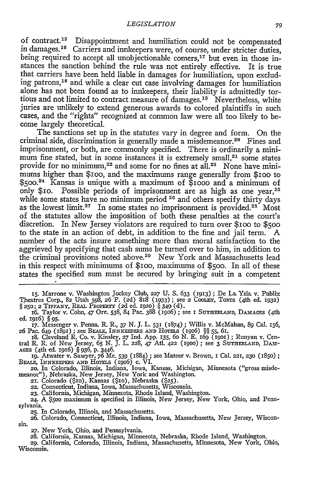of contract. 15 Disappointment and humiliation could not be compensated in damages.<sup>16</sup> Carriers and innkeepers were, of course, under stricter duties, being required to accept all unobjectionable comers,<sup>17</sup> but even in those instances the sanction behind the rule was not entirely effective. It is true that carriers have been held liable in damages for humiliation, upon excluding patrons,<sup>18</sup> and while a clear cut case involving damages for humiliation alone has not been found as to innkeepers, their liability is admittedly tortious and not limited to contract measure of damages.<sup>19</sup> Nevertheless, white juries are unlikely to extend generous awards to colored plaintiffs in such cases, and the "rights" recognized at common law were all too likely to become largely theoretical.

The sanctions set up in the statutes vary in degree and form. On the criminal side, discrimination is generally made a misdemeanor.20 Fines and imprisonment, or both, are commonly specified. There is ordinarily a minimum fine stated, but in some instances it is extremely small, $21$  some states provide for no minimum,<sup>22</sup> and some for no fines at all.<sup>23</sup> None have minimums higher than \$ioo, and the maximums range generally from \$IOO to \$500.24 Kansas is unique with a maximum of \$iooo and a minimum of only \$10. Possible periods of imprisonment are as high as one year,<sup>25</sup> while some states have no minimum period <sup>26</sup> and others specify thirty days as the lowest limit.<sup>27</sup> In some states no imprisonment is provided.<sup>28</sup> Most of the statutes allow the imposition of both these penalties at the court's discretion. In New Jersey violators are required to turn over \$IOO to **\$500** to the state in an action of debt, in addition to the fine and jail term. A number of the acts insure something more than moral satisfaction to the aggrieved **by** specifying that cash sums be turned over to him, in addition to the criminal provisions noted above.<sup>29</sup> New York and Massachusetts lead in this respect with minimums of \$ioo, maximums of **\$5oo.** In all of these states the specified sum must be secured **by** bringing suit in a competent

**15.** Marrone v. Washington Jockey Club, **227 U. S.** 633 (1913) **;** De La Ysla v. Publix Theatres Corp., 82 Utah **598,** *26* P. (2d) 8I8 (933) ; see *2* Cooixm, TORTS (4th ed. 1932) §250; 2 TIFFANY, REAL PROPERTY (2d ed. **192o)** § 349 (d).

16. Taylor v. Cohn, 47 Ore. 538, 84 Pac. 388 (1go6) ; see i SuTHERLAND, **DAMAGES** (4th ed. igi6) § **95.**

17. Messenger v. Penna. R. R., 37 N. **J.** L. 531 (1874) ; Willis v. McMahan, 89 Cal. 156, 26 Pac. 649 (1891) ; see BEAI, INNKEEPERS **AND** HoTELs (1go6) §§ 55, 61. 18. Cleveland R. Co. v. Kinsley, **27** Ind. App. 135, 6o N. E. 169 (19Ol) **;** Runyan v. Cen-

tral R. R. of New Jersey, 65 N. J. L. 228, 47 Atl. 422 (1900); see 3 SUTHERLAND, DAMAGES (4th ed. 1916) § 936, p. 3446.<br>19. Atwater v. Sawyer, 76 Me. 539 (1884); see Mateer v. Brown, 1 Cal. 221, 230 (1850)

**20.** In Colorado, Illinois, Indiana, Iowa, Kansas, Michigan, Minnesota ("gross misdemeanor"), Nebraska, New Jersey, New York and Washington.

**21.** Colorado (\$Io), Kansas (\$io), Nebraska **(\$25).** 22. Connecticut, Indiana, Iowa, Massachusetts, Wisconsin.

*23.* California, Michigan, Minnesota, Rhode Island, Washington. **24.** A **\$5o0** maximum is specified in Illinois, New Jersey, New York, Ohio, and Pennsylvania. **25.** In Colorado, Illinois, and Massachusetts.

**26.** Colorado, Connecticut, Illinois, Indiana, Iowa, Massachusetts, New Jersey, Wisconsin.

**27.** New York, Ohio, and Pennsylvania.

**28.** California, Kansas, Michigan, Minnesota, Nebraska, Rhode Island, Washington. **29.** California, Colorado, Illinois, Indiana, Massachusetts, Minnesota, New York, Ohio, Wisconsin.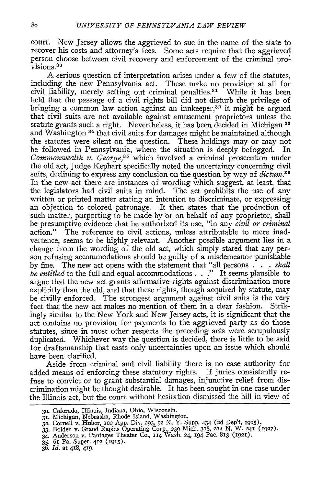court. New Jersey allows the aggrieved to sue in the name of the state to recover his costs and attorney's fees. Some acts require that the aggrieved person choose between civil recovery and enforcement of the criminal provisions.<sup>30</sup>

A serious question of interpretation arises under a few of the statutes, including the new Pennsylvania act. These make no provision at all for civil liability, merely setting out criminal penalties.<sup>31</sup> While it has been held that the passage of a civil rights bill did not disturb the privilege of bringing a common law action against an innkeeper,<sup>32</sup> it might be argued that civil suits are not available against amusement proprietors unless the statute grants such a right. Nevertheless, it has been decided in Michigan **33** and Washington 34 that civil suits for damages might be maintained although the statutes were silent on the question. These holdings may or may not be followed in Pennsylvania, where the situation is deeply befogged. In *Commonwealth v. George*,<sup>35</sup> which involved a criminal prosecution under the old act, Judge Kephart specifically noted the uncertainty concerning civil suits, declining to express any conclusion on the question by way of *dictum.3 <sup>6</sup>* In the new act there are instances of wording which suggest, at least, that the legislators had civil suits in mind. The act prohibits the use of any written or printed matter stating an intention to discriminate, or expressing an objection to colored patronage. It then states that the production of such matter, purporting to be made by or on behalf of any proprietor, shall be presumptive evidence that he authorized its use, "in any *civil or criminal* action." The reference to civil actions, unless attributable to mere inadvertence, seems to be highly relevant. Another possible argument lies in a change from the wording of the old act, which simply stated that any person refusing accommodations should be guilty of a misdemeanor punishable by fine. The new act opens with the statement that "all persons **. . .** *shall be entitled* to the full and equal accommodations. **. ."** It seems plausible to argue that the new act grants affirmative rights against discrimination more explicitly than the old, and that these rights, though acquired by statute, may be civilly enforced. The strongest argument against civil suits is the very fact that the new act makes no mention of them in a clear fashion. Strikingly similar to the New York and New Jersey acts, it is significant that the act contains no provision for payments to the aggrieved party as do those statutes, since in most other respects the preceding acts were scrupulously duplicated. Whichever way the question is decided, there is little to be said for draftsmanship that casts only uncertainties upon an issue which should have been clarified.

Aside from criminal and civil liability there is no case authority for added means of enforcing these statutory rights. If juries consistently refuse to convict or to grant substantial damages, injunctive relief from discrimination might be thought desirable. It has been sought in one case under the Illinois act, but the court without hesitation dismissed the bill in view of

- *33.* Bolden v. Grand Rapids Operating Corp., **239** Mich. 318, **214** N. W. **241** (1927). 34. Anderson v. Pantages Theater Co., 114 Wash. 24, 194 Pac. 813 (921).
- 
- 35. 61 Pa. Super. 412 (1915).
- 36. *Id.* at 418, 419.

<sup>30.</sup> Colorado, Illinois, Indiana, Ohio, Wisconsin.<br>31. Michigan, Nebraska, Rhode Island, Washington.<br>32. Cornell v. Huber, 102 App. Div. 293, 92 N. Y. Supp. 434 (2d Dep't, 1905)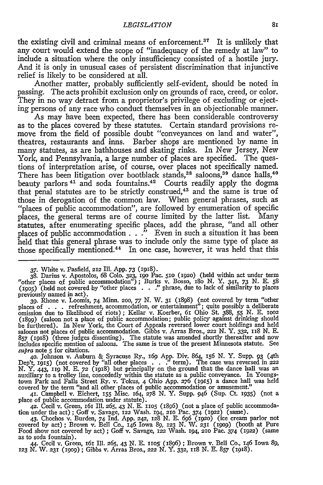the existing civil and criminal means of enforcement.<sup>37</sup> It is unlikely that any court would extend the scope of "inadequacy of the remedy at law" to include a situation where the only insufficiency consisted of a hostile jury. And it is only in unusual cases of persistent discrimination that injunctive relief is likely to be considered at all.

Another matter, probably sufficiently self-evident, should be noted in passing. The acts prohibit exclusion only on grounds of race, creed, or color. They in no way detract from a proprietor's privilege of excluding or ejecting persons of any race who conduct themselves in an objectionable manner.

As may have been expected, there has been considerable controversy as to the places covered by these statutes. Certain standard provisions remove from the field of possible doubt "conveyances on land and water", theatres, restaurants and inns. Barber shops are mentioned by name in many statutes, as are bathhouses and skating rinks. In New Jersey, New York, and Pennsylvania, a large number of places are specified. The questions of interpretation arise, of course, over places not specifically named. There has been litigation over bootblack stands,<sup>38</sup> saloons,<sup>39</sup> dance halls,<sup>40</sup> beauty parlors<sup>41</sup> and soda fountains.<sup>42</sup> Courts readily apply the dogma that penal statutes are to be strictly construed, $43$  and the same is true of those in derogation of the common law. When general phrases, such as "places of public accommodation", are followed by enumeration of specific places, the general terms are of course limited by the latter list. Many statutes, after enumerating specific places, add the phrase, "and all other places of public accommodation **. .** ." Even in such a situation it has been held that this general phrase was to include only the same type of place as those specifically mentioned.<sup>44</sup> In one case, however, it was held that this

**37.** White v. Pasfield, 212 IIl. **App.** 73 (i918).

38. Darius v. Apostolos, 68 Colo. 323, 190 Pac. 510 (1920) (held within act under term<br>"other places of public accommodation"); Burks v. Bosso, 180 N. Y. 341, 73 N. E. 58<br>(1905) (held not covered by "other places . . ." ph previously named in act). **39.** Rhone v. Loomis, 74 Minn. 2oo, *77* N. W. **31** (i898) (not covered **by** term "other

places of . . . refreshment, accommodation, or entertainment"; quite possibly a deliberate omission due to likelihood of riots) **;** Kellar v. Koerber, 61 Ohio St. 388, 55 N. E. ioo2 (1899) (saloon not a place of public accommodation; public policy against drinking should be furthered). In New York, the Court of Appeals reversed lower court holdings and held saloons not places of public accommodation. Gibbs v. Arras Bros., **222** N. **Y. 332, iis** N. **E. <sup>857</sup>**(1918) (three judges dissenting). The statute was amended shortly thereafter and now includes specific mention of saloons. The same is true of the present Minnesota statute. See *supra* note **5** for citations.

**40.** Johnson v. Auburn & Syracuse Ry., *169* App. Div. 864, i56 N. Y. Supp. 93 (4th Dep't, 1915) (not covered by "all other places  $\therefore$ " term). The case was reversed in 222 N. Y. 443, 119 N. E. 72 (1918) but principally on the ground that the dance hall was an auxiliary to a trolley line, concededly wit town Park and Falls Street Ry. v. Tokus, 4 Ohio App. 276 (1915) a dance hall was held covered by the term "and all other places of public accommodation or amusement."

**41.** Campbell v. Eichert, **155** Misc. 164, 278 *N.* Y. Supp. 946 (Sup. Ct. i935) (not a place of public accommodation under statute).

42. Čecil v. Green, 161 Ill. 265, 43 N. E. 1105 (1896) (not a place of public accommodation under the act); Goff v. Savage, 122 Wash. 194, 210 Pac. 374 (1922) (same).<br>43. Chochos v. Burden, 74 Ind. App. 242, 128 N. E. 696

Food show not covered by act) ; Goff v. Savage, **122** Wash. 194, **210** Pac. 374 (1922) (same as to soda fountain).

44. Cecil v. Green, 16i Ill. 265, 43 N. E. iio5/ (i89) ; Brown v. Bell Co., 146 Iowa *89, 123* N. W. **231** (igo); Gibbs v. Arras Bros., 222 N. Y. **332, II8** *N.* **E.** 857 (i918).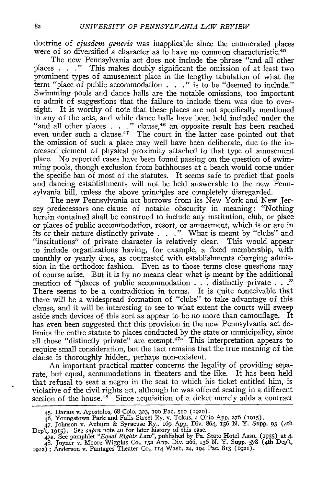doctrine of *ejusdem generis* was inapplicable since the enumerated places were of so diversified a character as to have no common characteristic.<sup>45</sup>

The new Pennsylvania act does not include the phrase "and all other places **. . ."** This makes doubly significant the omission of at least two prominent types of amusement place in the lengthy tabulation of what the term "place of public accommodation **. . ."** is to be "deemed to include." Swimming pools and dance halls are the notable omissions, too important to admit of suggestions that the failure to include them was due to oversight. It is worthy of note that these places are not specifically mentioned in any of the acts, and while dance halls have been held included under the "and all other places **. . ."** clause, 46 an opposite result has been reached even under such a clause.<sup>47</sup> The court in the latter case pointed out that the omission of such a place may well have been deliberate, due to the increased element of physical proximity attached to that type of amusement place. No reported cases have been found passing on the question of swimming pools, though exclusion from bathhouses at a beach would come under the specific ban of most of the statutes. It seems safe to predict that pools and dancing establishments will not be held answerable to the new Pennsylvania bill, unless the above principles are completely disregarded.

The new Pennsylvania act borrows from its New York and New Jersey predecessors one clause of notable obscurity in meaning: "Nothing herein contained shall be construed to include any institution, club, or place or places of public accommodation, resort, or amusement, which is or are in its or their nature distinctly private . . **."** What is meant by "clubs" and "institutions" of private character is relatively clear. This would appear to include organizations having, for example, a fixed membership, with monthly or yearly dues, as contrasted with establishments charging admission in the orthodox fashion. Even as to those terms close questions may of course arise. But it is by no means clear what is meant by the additional mention of "places of public accommodation . . . distinctly private . . **."** There seems to be a contradiction in terms. It is quite conceivable that there will be a widespread formation of "clubs" to take advantage of this clause, and it will be interesting to see to what extent the courts will sweep aside such devices of this sort as appear to be no more than camouflage. It has even been suggested that this provision in the new Pennsylvania act delimits the entire statute to places conducted by the state or municipality, since all those "distinctly private" are exempt.<sup>47a</sup> This interpretation appears to require small consideration, but the fact remains that the true meaning of the clause is thoroughly hidden, perhaps non-existent.

An important practical matter concerns the legality of providing separate, but equal, acommodations in theaters and the like. It has been held that refusal to seat a negro in the seat to which his ticket entitled him, is violative of the civil rights act, although he was offered seating in a different section of the house. $48^\circ$  Since acquisition of a ticket merely adds a contract

<sup>45.</sup> Darius v. Apostolos, 68 Coo. **323,** 19o Pac. 51o **(1920).**

<sup>46.</sup> Youngstown Park and Falls Street Ry. v. Tokus, 4 Ohio App. 276 (1915).<br>47. Johnson v. Auburn & Syracuse Ry., 169 App. Div. 864, 156 N. Y. Supp. 93 (4th<br>Dep't, 1915). See *supra* note 40 for later history of this case.

<sup>47</sup>a. See pamphlet *"Equal Rights Law",* published by Pa. State Hotel Assn. (1935) at 4. 48. Joyner v. Moore-Wiggins Co., **152** App. Div. 266, 136 **N.** Y. Supp. 578 (4th Dep't, 1912) **;** Anderson v. Pantages Theater Co., 114 Wash. **24,** 194 Pac. 813 **(1921).**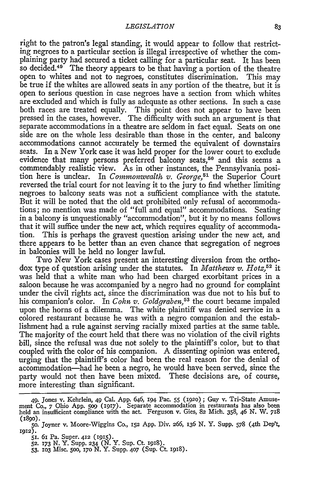right to the patron's legal standing, it would appear to follow that restricting negroes to a particular section is illegal irrespective of whether the complaining party had secured a ticket calling for a particular seat. It has been so decided.<sup>49</sup> The theory appears to be that having a portion of the theatre open to whites and not to negroes, constitutes discrimination. This may be true if the whites are allowed seats in any portion of the theatre, but it is open to serious question in case negroes have a section from which whites are excluded and which is fully as adequate as other sections. In such a case both races are treated equally. This point does not appear to have been pressed in the cases, however. The difficulty with such an argument is that separate accommodations in a theatre are seldom in fact equal. Seats on one side are on the whole less desirable than those in the center, and balcony accommodations cannot accurately be termed the equivalent of downstairs seats. In a New York case it was held proper for the lower court to exclude evidence that many persons preferred balcony seats,<sup>50</sup> and this seems a commendably realistic view. As in other instances, the Pennsylvania position here is unclear. In *Commonwealth v. George,51* the Superior Court reversed the trial court for not leaving it to the jury to find whether limiting negroes to balcony seats was not a sufficient compliance with the statute. But it will be noted that the old act prohibited only refusal of accommodations; no mention was made of "full and equal" accommodations. Seating in a balcony is unquestionably "accommodation", but it by no means follows that it will suffice under the new act, which requires equality of accommodation. This is perhaps the gravest question arising under the new act, and there appears to be better than an even chance that segregation of negroes in balconies will be held no longer lawful.

Two New York cases present an interesting diversion from the orthodox type of question arising under the statutes. In *Matthews v. Hotz,52* it was held that a white man who had been charged exorbitant prices in a saloon because he was accompanied by a negro had no ground for complaint under the civil rights act, since the discrimination was due not to his buf to his companion's color. In *Cohn v. Goldgraben,53* the court became impaled upon the horns of a dilemma. The white plaintiff was denied service in a colored restaurant because he was with a negro companion and the establishment had a rule against serving racially mixed parties at the same table. The majority of the court held that there was no violation of the civil rights bill, since the refusal was due not solely to the plaintiff's color, but to that coupled with the color of his companion. A dissenting opinion was entered, urging that the plaintiff's color had been the real reason for the denial of accommodation-had he been a negro, he would have been served, since the party would not then have been mixed. These decisions are, of course, more interesting than significant.

<sup>49.</sup> Jones v. Kehrlein, 49 Cal. App. 646, 194 Pac. 55 (192o) **;** Guy v. Tri-State Amuse-ment Co., *7* Ohio App. **509** (1917). Separate accommodation in restaurants has also been held an insufficient compliance with the act. Ferguson v. Gies, 82 Mich. 358, 46 N. W. *718* **(1890).**

**<sup>50.</sup>** Joyner v. Moore-Wiggins Co., **152 App.** Div. 266, 136 **N.** Y. Supp. 578 (4th Dep't, 1912).

**<sup>5</sup>I.** 6i Pa. Super. 412 (915). **52.** i73 N. Y. Supp. **234** (N. Y. Sup. Ct. igi).

<sup>53.</sup> **103** Misc. **500,** 17o N. Y. Supp. 407 (Sup. Ct. **1918).**